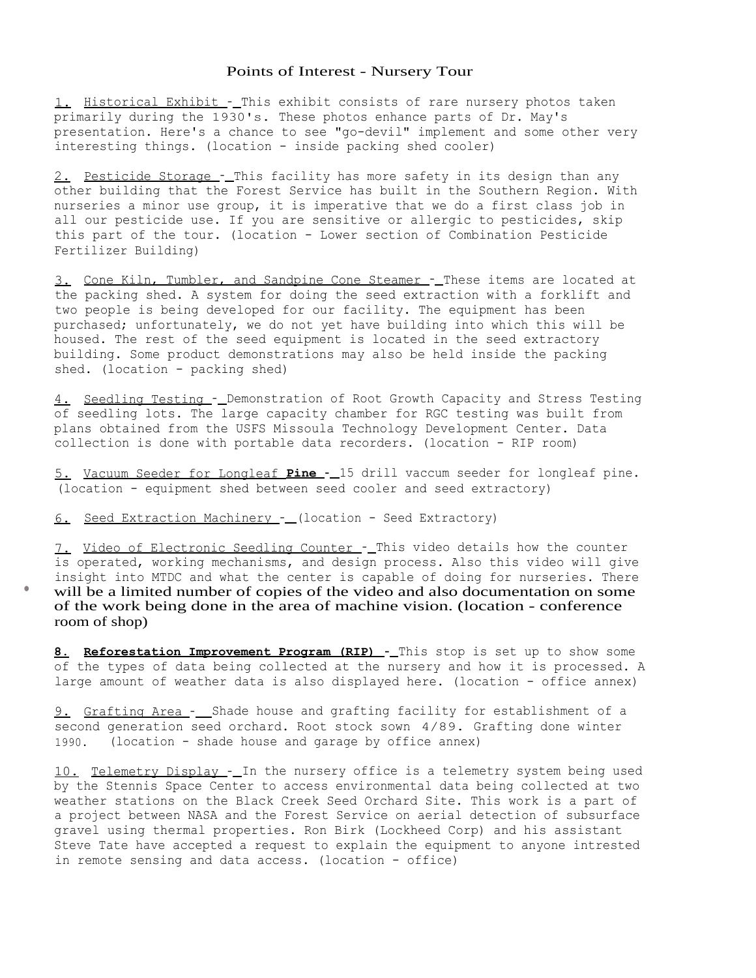# Points of Interest - Nursery Tour

1. Historical Exhibit - This exhibit consists of rare nursery photos taken primarily during the 1930's. These photos enhance parts of Dr. May's presentation. Here's a chance to see "go-devil" implement and some other very interesting things. (location - inside packing shed cooler)

2. Pesticide Storage -\_ This facility has more safety in its design than any other building that the Forest Service has built in the Southern Region. With nurseries a minor use group, it is imperative that we do a first class job in all our pesticide use. If you are sensitive or allergic to pesticides, skip this part of the tour. (location - Lower section of Combination Pesticide Fertilizer Building)

3. Cone Kiln, Tumbler, and Sandpine Cone Steamer - These items are located at the packing shed. A system for doing the seed extraction with a forklift and two people is being developed for our facility. The equipment has been purchased; unfortunately, we do not yet have building into which this will be housed. The rest of the seed equipment is located in the seed extractory building. Some product demonstrations may also be held inside the packing shed. (location - packing shed)

4. Seedling Testing -\_ Demonstration of Root Growth Capacity and Stress Testing of seedling lots. The large capacity chamber for RGC testing was built from plans obtained from the USFS Missoula Technology Development Center. Data collection is done with portable data recorders. (location - RIP room)

5. Vacuum Seeder for Longleaf **Pine -** 15 drill vaccum seeder for longleaf pine. (location - equipment shed between seed cooler and seed extractory)

6. Seed Extraction Machinery - (location - Seed Extractory)

7. Video of Electronic Seedling Counter - This video details how the counter is operated, working mechanisms, and design process. Also this video will give insight into MTDC and what the center is capable of doing for nurseries. There will be a limited number of copies of the video and also documentation on some of the work being done in the area of machine vision. (location - conference room of shop)

**8. Reforestation Improvement Program (RIP) -** This stop is set up to show some of the types of data being collected at the nursery and how it is processed. A large amount of weather data is also displayed here. (location - office annex)

9. Grafting Area - Shade house and grafting facility for establishment of a second generation seed orchard. Root stock sown 4/89. Grafting done winter 1990. (location - shade house and garage by office annex)

10. Telemetry Display - In the nursery office is a telemetry system being used by the Stennis Space Center to access environmental data being collected at two weather stations on the Black Creek Seed Orchard Site. This work is a part of a project between NASA and the Forest Service on aerial detection of subsurface gravel using thermal properties. Ron Birk (Lockheed Corp) and his assistant Steve Tate have accepted a request to explain the equipment to anyone intrested in remote sensing and data access. (location - office)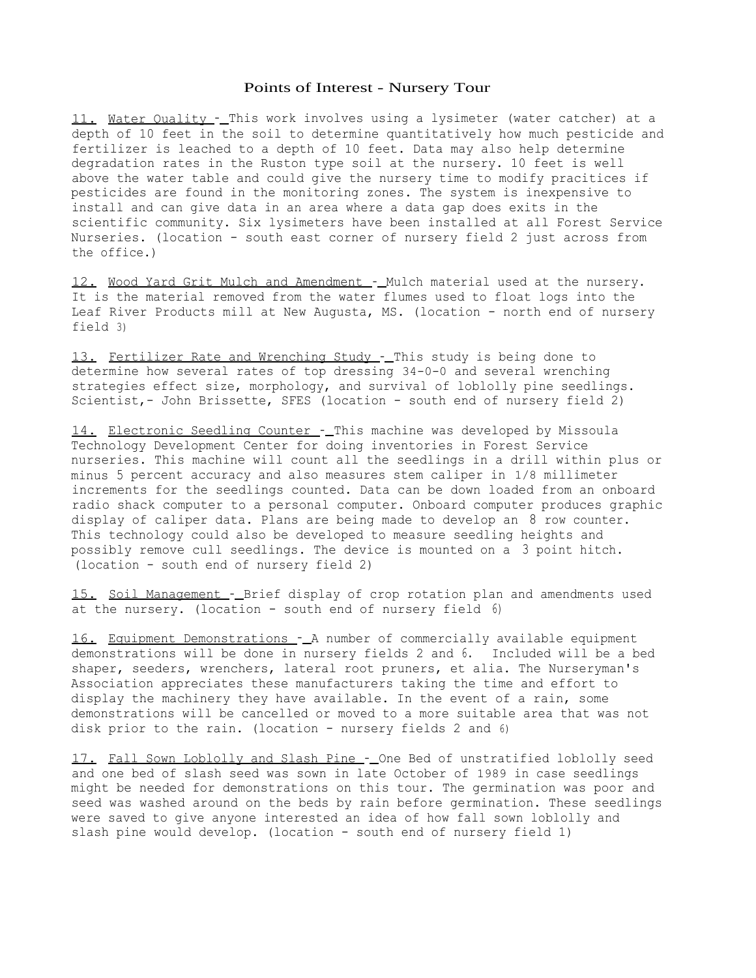#### Points of Interest - Nursery Tour

11. Water Ouality - This work involves using a lysimeter (water catcher) at a depth of 10 feet in the soil to determine quantitatively how much pesticide and fertilizer is leached to a depth of 10 feet. Data may also help determine degradation rates in the Ruston type soil at the nursery. 10 feet is well above the water table and could give the nursery time to modify pracitices if pesticides are found in the monitoring zones. The system is inexpensive to install and can give data in an area where a data gap does exits in the scientific community. Six lysimeters have been installed at all Forest Service Nurseries. (location - south east corner of nursery field 2 just across from the office.)

12. Wood Yard Grit Mulch and Amendment - Mulch material used at the nursery. It is the material removed from the water flumes used to float logs into the Leaf River Products mill at New Augusta, MS. (location - north end of nursery field 3)

13. Fertilizer Rate and Wrenching Study - This study is being done to determine how several rates of top dressing 34-0-0 and several wrenching strategies effect size, morphology, and survival of loblolly pine seedlings. Scientist, - John Brissette, SFES (location - south end of nursery field 2)

14. Electronic Seedling Counter -\_ This machine was developed by Missoula Technology Development Center for doing inventories in Forest Service nurseries. This machine will count all the seedlings in a drill within plus or minus 5 percent accuracy and also measures stem caliper in 1/8 millimeter increments for the seedlings counted. Data can be down loaded from an onboard radio shack computer to a personal computer. Onboard computer produces graphic display of caliper data. Plans are being made to develop an 8 row counter. This technology could also be developed to measure seedling heights and possibly remove cull seedlings. The device is mounted on a 3 point hitch. (location - south end of nursery field 2)

15. Soil Management - Brief display of crop rotation plan and amendments used at the nursery. (location - south end of nursery field 6)

16. Equipment Demonstrations - A number of commercially available equipment demonstrations will be done in nursery fields 2 and 6. Included will be a bed shaper, seeders, wrenchers, lateral root pruners, et alia. The Nurseryman's Association appreciates these manufacturers taking the time and effort to display the machinery they have available. In the event of a rain, some demonstrations will be cancelled or moved to a more suitable area that was not disk prior to the rain. (location - nursery fields 2 and 6)

17. Fall Sown Loblolly and Slash Pine - One Bed of unstratified loblolly seed and one bed of slash seed was sown in late October of 1989 in case seedlings might be needed for demonstrations on this tour. The germination was poor and seed was washed around on the beds by rain before germination. These seedlings were saved to give anyone interested an idea of how fall sown loblolly and slash pine would develop. (location - south end of nursery field 1)